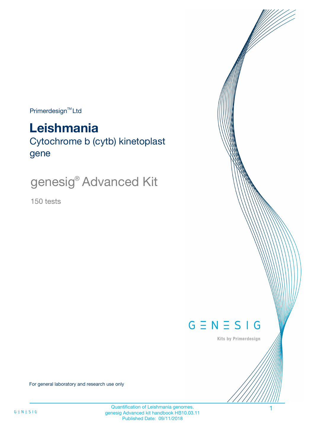$Primerdesign^{\text{TM}}Ltd$ 

# **Leishmania**

Cytochrome b (cytb) kinetoplast gene

# genesig® Advanced Kit

150 tests



Kits by Primerdesign

For general laboratory and research use only

Quantification of Leishmania genomes. genesig Advanced kit handbook HB10.03.11 Published Date: 09/11/2018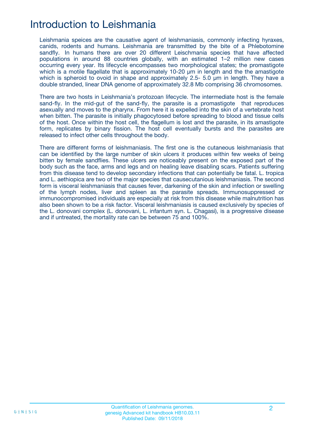# Introduction to Leishmania

Leishmania speices are the causative agent of leishmaniasis, commonly infecting hyraxes, canids, rodents and humans. Leishmania are transmitted by the bite of a Phlebotomine sandfly. In humans there are over 20 different Leischmania species that have affected populations in around 88 countries globally, with an estimated 1–2 million new cases occurring every year. Its lifecycle encompasses two morphological states; the promastigote which is a motile flagellate that is approximately 10-20  $\mu$ m in length and the the amastigote which is spheroid to ovoid in shape and approximately 2.5- 5.0 um in length. They have a double stranded, linear DNA genome of approximately 32.8 Mb comprising 36 chromosomes.

There are two hosts in Leishmania's protozoan lifecycle. The intermediate host is the female sand-fly. In the mid-gut of the sand-fly, the parasite is a promastigote that reproduces asexually and moves to the pharynx. From here it is expelled into the skin of a vertebrate host when bitten. The parasite is initially phagocytosed before spreading to blood and tissue cells of the host. Once within the host cell, the flagellum is lost and the parasite, in its amastigote form, replicates by binary fission. The host cell eventually bursts and the parasites are released to infect other cells throughout the body.

There are different forms of leishmaniasis. The first one is the cutaneous leishmaniasis that can be identified by the large number of skin ulcers it produces within few weeks of being bitten by female sandflies. These ulcers are noticeably present on the exposed part of the body such as the face, arms and legs and on healing leave disabling scars. Patients suffering from this disease tend to develop secondary infections that can potentially be fatal. L. tropica and L. aethiopica are two of the major species that causecutanious leishmaniasis. The second form is visceral leishmaniasis that causes fever, darkening of the skin and infection or swelling of the lymph nodes, liver and spleen as the parasite spreads. Immunosuppressed or immunocompromised individuals are especially at risk from this disease while malnutrition has also been shown to be a risk factor. Visceral leishmaniasis is caused exclusively by species of the L. donovani complex (L. donovani, L. infantum syn. L. Chagasi), is a progressive disease and if untreated, the mortality rate can be between 75 and 100%.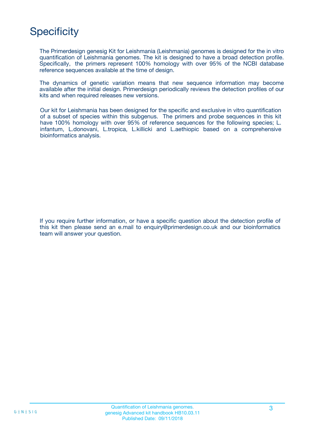# **Specificity**

The Primerdesign genesig Kit for Leishmania (Leishmania) genomes is designed for the in vitro quantification of Leishmania genomes. The kit is designed to have a broad detection profile. Specifically, the primers represent 100% homology with over 95% of the NCBI database reference sequences available at the time of design.

The dynamics of genetic variation means that new sequence information may become available after the initial design. Primerdesign periodically reviews the detection profiles of our kits and when required releases new versions.

Our kit for Leishmania has been designed for the specific and exclusive in vitro quantification of a subset of species within this subgenus. The primers and probe sequences in this kit have 100% homology with over 95% of reference sequences for the following species; L. infantum, L.donovani, L.tropica, L.killicki and L.aethiopic based on a comprehensive bioinformatics analysis.

If you require further information, or have a specific question about the detection profile of this kit then please send an e.mail to enquiry@primerdesign.co.uk and our bioinformatics team will answer your question.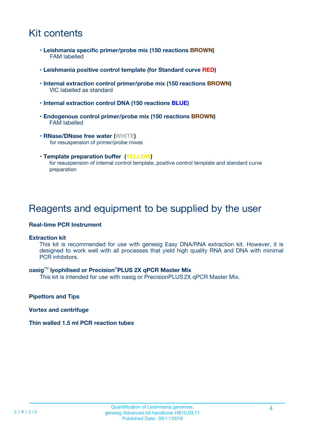# Kit contents

- **Leishmania specific primer/probe mix (150 reactions BROWN)** FAM labelled
- **Leishmania positive control template (for Standard curve RED)**
- **Internal extraction control primer/probe mix (150 reactions BROWN)** VIC labelled as standard
- **Internal extraction control DNA (150 reactions BLUE)**
- **Endogenous control primer/probe mix (150 reactions BROWN)** FAM labelled
- **RNase/DNase free water (WHITE)** for resuspension of primer/probe mixes
- **Template preparation buffer (YELLOW)** for resuspension of internal control template, positive control template and standard curve preparation

## Reagents and equipment to be supplied by the user

#### **Real-time PCR Instrument**

#### **Extraction kit**

This kit is recommended for use with genesig Easy DNA/RNA extraction kit. However, it is designed to work well with all processes that yield high quality RNA and DNA with minimal PCR inhibitors.

#### **oasig**TM **lyophilised or Precision**®**PLUS 2X qPCR Master Mix**

This kit is intended for use with oasig or PrecisionPLUS2X qPCR Master Mix.

**Pipettors and Tips**

**Vortex and centrifuge**

#### **Thin walled 1.5 ml PCR reaction tubes**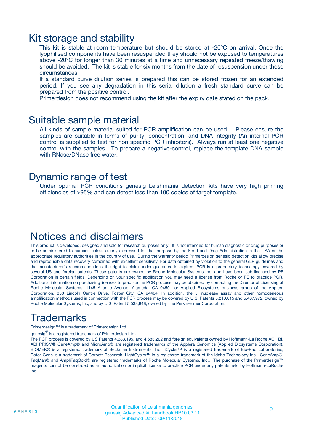### Kit storage and stability

This kit is stable at room temperature but should be stored at -20ºC on arrival. Once the lyophilised components have been resuspended they should not be exposed to temperatures above -20°C for longer than 30 minutes at a time and unnecessary repeated freeze/thawing should be avoided. The kit is stable for six months from the date of resuspension under these circumstances.

If a standard curve dilution series is prepared this can be stored frozen for an extended period. If you see any degradation in this serial dilution a fresh standard curve can be prepared from the positive control.

Primerdesign does not recommend using the kit after the expiry date stated on the pack.

### Suitable sample material

All kinds of sample material suited for PCR amplification can be used. Please ensure the samples are suitable in terms of purity, concentration, and DNA integrity (An internal PCR control is supplied to test for non specific PCR inhibitors). Always run at least one negative control with the samples. To prepare a negative-control, replace the template DNA sample with RNase/DNase free water.

### Dynamic range of test

Under optimal PCR conditions genesig Leishmania detection kits have very high priming efficiencies of >95% and can detect less than 100 copies of target template.

# Notices and disclaimers

This product is developed, designed and sold for research purposes only. It is not intended for human diagnostic or drug purposes or to be administered to humans unless clearly expressed for that purpose by the Food and Drug Administration in the USA or the appropriate regulatory authorities in the country of use. During the warranty period Primerdesign genesig detection kits allow precise and reproducible data recovery combined with excellent sensitivity. For data obtained by violation to the general GLP guidelines and the manufacturer's recommendations the right to claim under guarantee is expired. PCR is a proprietary technology covered by several US and foreign patents. These patents are owned by Roche Molecular Systems Inc. and have been sub-licensed by PE Corporation in certain fields. Depending on your specific application you may need a license from Roche or PE to practice PCR. Additional information on purchasing licenses to practice the PCR process may be obtained by contacting the Director of Licensing at Roche Molecular Systems, 1145 Atlantic Avenue, Alameda, CA 94501 or Applied Biosystems business group of the Applera Corporation, 850 Lincoln Centre Drive, Foster City, CA 94404. In addition, the 5' nuclease assay and other homogeneous amplification methods used in connection with the PCR process may be covered by U.S. Patents 5,210,015 and 5,487,972, owned by Roche Molecular Systems, Inc, and by U.S. Patent 5,538,848, owned by The Perkin-Elmer Corporation.

# Trademarks

Primerdesign™ is a trademark of Primerdesign Ltd.

genesig $^\circledR$  is a registered trademark of Primerdesign Ltd.

The PCR process is covered by US Patents 4,683,195, and 4,683,202 and foreign equivalents owned by Hoffmann-La Roche AG. BI, ABI PRISM® GeneAmp® and MicroAmp® are registered trademarks of the Applera Genomics (Applied Biosystems Corporation). BIOMEK® is a registered trademark of Beckman Instruments, Inc.; iCycler™ is a registered trademark of Bio-Rad Laboratories, Rotor-Gene is a trademark of Corbett Research. LightCycler™ is a registered trademark of the Idaho Technology Inc. GeneAmp®, TaqMan® and AmpliTaqGold® are registered trademarks of Roche Molecular Systems, Inc., The purchase of the Primerdesign™ reagents cannot be construed as an authorization or implicit license to practice PCR under any patents held by Hoffmann-LaRoche Inc.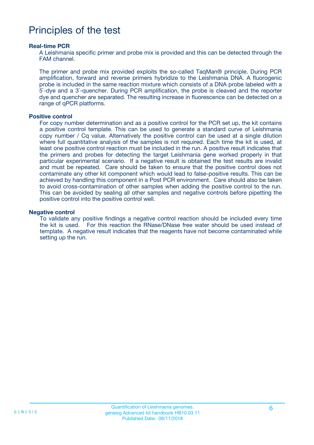# Principles of the test

#### **Real-time PCR**

A Leishmania specific primer and probe mix is provided and this can be detected through the FAM channel.

The primer and probe mix provided exploits the so-called TaqMan® principle. During PCR amplification, forward and reverse primers hybridize to the Leishmania DNA. A fluorogenic probe is included in the same reaction mixture which consists of a DNA probe labeled with a 5`-dye and a 3`-quencher. During PCR amplification, the probe is cleaved and the reporter dye and quencher are separated. The resulting increase in fluorescence can be detected on a range of qPCR platforms.

#### **Positive control**

For copy number determination and as a positive control for the PCR set up, the kit contains a positive control template. This can be used to generate a standard curve of Leishmania copy number / Cq value. Alternatively the positive control can be used at a single dilution where full quantitative analysis of the samples is not required. Each time the kit is used, at least one positive control reaction must be included in the run. A positive result indicates that the primers and probes for detecting the target Leishmania gene worked properly in that particular experimental scenario. If a negative result is obtained the test results are invalid and must be repeated. Care should be taken to ensure that the positive control does not contaminate any other kit component which would lead to false-positive results. This can be achieved by handling this component in a Post PCR environment. Care should also be taken to avoid cross-contamination of other samples when adding the positive control to the run. This can be avoided by sealing all other samples and negative controls before pipetting the positive control into the positive control well.

#### **Negative control**

To validate any positive findings a negative control reaction should be included every time the kit is used. For this reaction the RNase/DNase free water should be used instead of template. A negative result indicates that the reagents have not become contaminated while setting up the run.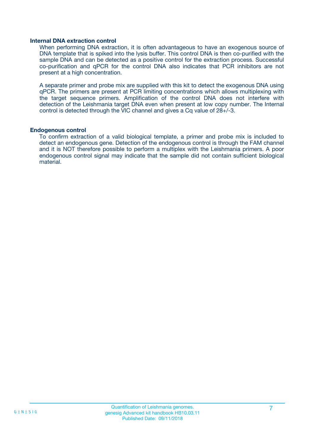#### **Internal DNA extraction control**

When performing DNA extraction, it is often advantageous to have an exogenous source of DNA template that is spiked into the lysis buffer. This control DNA is then co-purified with the sample DNA and can be detected as a positive control for the extraction process. Successful co-purification and qPCR for the control DNA also indicates that PCR inhibitors are not present at a high concentration.

A separate primer and probe mix are supplied with this kit to detect the exogenous DNA using qPCR. The primers are present at PCR limiting concentrations which allows multiplexing with the target sequence primers. Amplification of the control DNA does not interfere with detection of the Leishmania target DNA even when present at low copy number. The Internal control is detected through the VIC channel and gives a Cq value of 28+/-3.

#### **Endogenous control**

To confirm extraction of a valid biological template, a primer and probe mix is included to detect an endogenous gene. Detection of the endogenous control is through the FAM channel and it is NOT therefore possible to perform a multiplex with the Leishmania primers. A poor endogenous control signal may indicate that the sample did not contain sufficient biological material.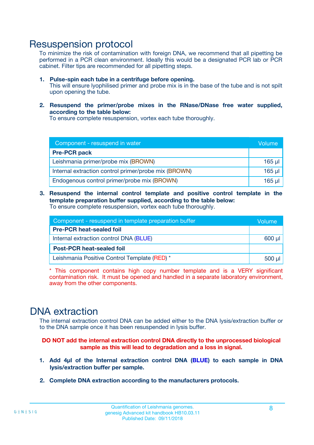### Resuspension protocol

To minimize the risk of contamination with foreign DNA, we recommend that all pipetting be performed in a PCR clean environment. Ideally this would be a designated PCR lab or PCR cabinet. Filter tips are recommended for all pipetting steps.

- **1. Pulse-spin each tube in a centrifuge before opening.** This will ensure lyophilised primer and probe mix is in the base of the tube and is not spilt upon opening the tube.
- **2. Resuspend the primer/probe mixes in the RNase/DNase free water supplied, according to the table below:**

To ensure complete resuspension, vortex each tube thoroughly.

| Component - resuspend in water                       |          |  |
|------------------------------------------------------|----------|--|
| <b>Pre-PCR pack</b>                                  |          |  |
| Leishmania primer/probe mix (BROWN)                  | $165$ µl |  |
| Internal extraction control primer/probe mix (BROWN) | $165$ µl |  |
| Endogenous control primer/probe mix (BROWN)          | 165 µl   |  |

**3. Resuspend the internal control template and positive control template in the template preparation buffer supplied, according to the table below:** To ensure complete resuspension, vortex each tube thoroughly.

| Component - resuspend in template preparation buffer |  |  |  |
|------------------------------------------------------|--|--|--|
| <b>Pre-PCR heat-sealed foil</b>                      |  |  |  |
| Internal extraction control DNA (BLUE)               |  |  |  |
| <b>Post-PCR heat-sealed foil</b>                     |  |  |  |
| Leishmania Positive Control Template (RED) *         |  |  |  |

\* This component contains high copy number template and is a VERY significant contamination risk. It must be opened and handled in a separate laboratory environment, away from the other components.

# DNA extraction

The internal extraction control DNA can be added either to the DNA lysis/extraction buffer or to the DNA sample once it has been resuspended in lysis buffer.

**DO NOT add the internal extraction control DNA directly to the unprocessed biological sample as this will lead to degradation and a loss in signal.**

- **1. Add 4µl of the Internal extraction control DNA (BLUE) to each sample in DNA lysis/extraction buffer per sample.**
- **2. Complete DNA extraction according to the manufacturers protocols.**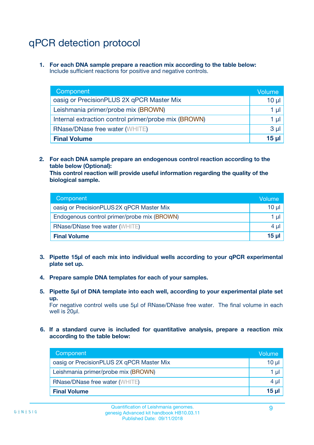# qPCR detection protocol

**1. For each DNA sample prepare a reaction mix according to the table below:** Include sufficient reactions for positive and negative controls.

| Component                                            | Volume   |
|------------------------------------------------------|----------|
| oasig or PrecisionPLUS 2X qPCR Master Mix            | $10 \mu$ |
| Leishmania primer/probe mix (BROWN)                  | 1 µI l   |
| Internal extraction control primer/probe mix (BROWN) | 1 µl     |
| <b>RNase/DNase free water (WHITE)</b>                | $3 \mu$  |
| <b>Final Volume</b>                                  | 15 µl    |

**2. For each DNA sample prepare an endogenous control reaction according to the table below (Optional):**

**This control reaction will provide useful information regarding the quality of the biological sample.**

| Component                                   | Volume          |
|---------------------------------------------|-----------------|
| oasig or PrecisionPLUS 2X qPCR Master Mix   | $10 \mu$        |
| Endogenous control primer/probe mix (BROWN) | 1 µI            |
| <b>RNase/DNase free water (WHITE)</b>       | 4 µl            |
| <b>Final Volume</b>                         | 15 <sub>µ</sub> |

- **3. Pipette 15µl of each mix into individual wells according to your qPCR experimental plate set up.**
- **4. Prepare sample DNA templates for each of your samples.**
- **5. Pipette 5µl of DNA template into each well, according to your experimental plate set up.**

For negative control wells use 5µl of RNase/DNase free water. The final volume in each well is 20ul.

**6. If a standard curve is included for quantitative analysis, prepare a reaction mix according to the table below:**

| Component                                 | Volume          |
|-------------------------------------------|-----------------|
| oasig or PrecisionPLUS 2X qPCR Master Mix | 10 $\mu$        |
| Leishmania primer/probe mix (BROWN)       |                 |
| <b>RNase/DNase free water (WHITE)</b>     | 4 µl            |
| <b>Final Volume</b>                       | 15 <sub>µ</sub> |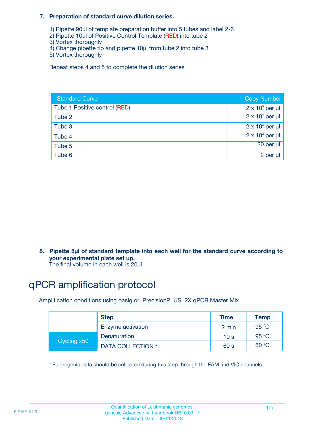#### **7. Preparation of standard curve dilution series.**

- 1) Pipette 90µl of template preparation buffer into 5 tubes and label 2-6
- 2) Pipette 10µl of Positive Control Template (RED) into tube 2
- 3) Vortex thoroughly
- 4) Change pipette tip and pipette 10µl from tube 2 into tube 3
- 5) Vortex thoroughly

Repeat steps 4 and 5 to complete the dilution series

| <b>Standard Curve</b>         | <b>Copy Number</b>     |
|-------------------------------|------------------------|
| Tube 1 Positive control (RED) | $2 \times 10^5$ per µl |
| Tube 2                        | $2 \times 10^4$ per µl |
| Tube 3                        | $2 \times 10^3$ per µl |
| Tube 4                        | $2 \times 10^2$ per µl |
| Tube 5                        | 20 per µl              |
| Tube 6                        | 2 per µl               |

**8. Pipette 5µl of standard template into each well for the standard curve according to your experimental plate set up.**

#### The final volume in each well is 20µl.

# qPCR amplification protocol

Amplification conditions using oasig or PrecisionPLUS 2X qPCR Master Mix.

|             | <b>Step</b>       | <b>Time</b>     | Temp    |
|-------------|-------------------|-----------------|---------|
|             | Enzyme activation | 2 min           | 95 °C   |
| Cycling x50 | Denaturation      | 10 <sub>s</sub> | 95 $°C$ |
|             | DATA COLLECTION * | 60 s            | 60 °C   |

\* Fluorogenic data should be collected during this step through the FAM and VIC channels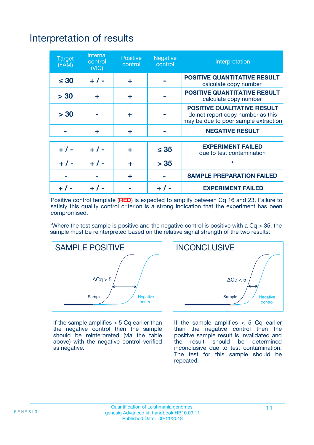# Interpretation of results

| <b>Target</b><br>(FAM) | <b>Internal</b><br>control<br>(NIC) | <b>Positive</b><br>control | <b>Negative</b><br>control | Interpretation                                                                                                  |
|------------------------|-------------------------------------|----------------------------|----------------------------|-----------------------------------------------------------------------------------------------------------------|
| $\leq 30$              | $+ 1 -$                             | ÷                          |                            | <b>POSITIVE QUANTITATIVE RESULT</b><br>calculate copy number                                                    |
| > 30                   | ٠                                   | ÷                          |                            | <b>POSITIVE QUANTITATIVE RESULT</b><br>calculate copy number                                                    |
| > 30                   |                                     | ÷                          |                            | <b>POSITIVE QUALITATIVE RESULT</b><br>do not report copy number as this<br>may be due to poor sample extraction |
|                        | ÷                                   | ÷                          |                            | <b>NEGATIVE RESULT</b>                                                                                          |
| $+ 1 -$                | $+ 1 -$                             | ÷                          | $\leq$ 35                  | <b>EXPERIMENT FAILED</b><br>due to test contamination                                                           |
| $+$ / -                | $+ 1 -$                             | ÷                          | > 35                       | $\star$                                                                                                         |
|                        |                                     | ÷                          |                            | <b>SAMPLE PREPARATION FAILED</b>                                                                                |
|                        |                                     |                            | $+$ /                      | <b>EXPERIMENT FAILED</b>                                                                                        |

Positive control template (**RED**) is expected to amplify between Cq 16 and 23. Failure to satisfy this quality control criterion is a strong indication that the experiment has been compromised.

\*Where the test sample is positive and the negative control is positive with a  $Ca > 35$ , the sample must be reinterpreted based on the relative signal strength of the two results:



If the sample amplifies  $> 5$  Cq earlier than the negative control then the sample should be reinterpreted (via the table above) with the negative control verified as negative.



If the sample amplifies  $< 5$  Cq earlier than the negative control then the positive sample result is invalidated and<br>the result should be determined  $the$  result should be inconclusive due to test contamination. The test for this sample should be repeated.